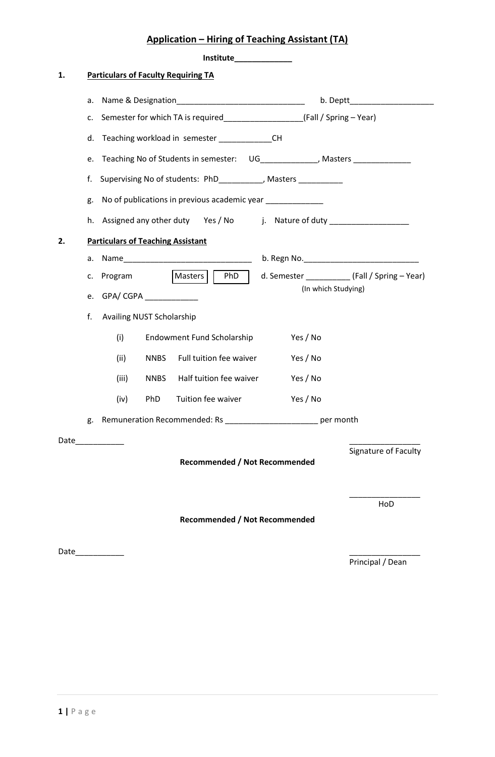## **Application – Hiring of Teaching Assistant (TA)**

|    |    | <b>Institute Exercise 1996</b>                                              |     |  |  |
|----|----|-----------------------------------------------------------------------------|-----|--|--|
| 1. |    | <b>Particulars of Faculty Requiring TA</b>                                  |     |  |  |
|    | a. |                                                                             |     |  |  |
|    | c. |                                                                             |     |  |  |
|    | d. | Teaching workload in semester _______________CH                             |     |  |  |
|    | e. | Teaching No of Students in semester: UG_____________, Masters _____________ |     |  |  |
|    | f. | Supervising No of students: PhD__________, Masters ________                 |     |  |  |
|    | g. | No of publications in previous academic year                                |     |  |  |
|    | h. | Assigned any other duty Yes / No j. Nature of duty ________________         |     |  |  |
| 2. |    | <b>Particulars of Teaching Assistant</b>                                    |     |  |  |
|    | a. |                                                                             |     |  |  |
|    | c. | Program<br> Masters   PhD                                                   |     |  |  |
|    | e. | (In which Studying)                                                         |     |  |  |
|    | f. | Availing NUST Scholarship                                                   |     |  |  |
|    |    | (i)<br><b>Endowment Fund Scholarship</b><br>Yes / No                        |     |  |  |
|    |    | (ii)<br>Full tuition fee waiver<br><b>NNBS</b><br>Yes / No                  |     |  |  |
|    |    | (iii)<br>Half tuition fee waiver<br><b>NNBS</b><br>Yes / No                 |     |  |  |
|    |    | Tuition fee waiver<br><b>PhD</b><br>Yes / No<br>(iv)                        |     |  |  |
|    |    | g. Remuneration Recommended: Rs __________________________ per month        |     |  |  |
|    |    | Date____________                                                            |     |  |  |
|    |    | Signature of Faculty                                                        |     |  |  |
|    |    | <b>Recommended / Not Recommended</b>                                        | HoD |  |  |

Date\_\_\_\_\_\_\_\_\_\_\_ \_\_\_\_\_\_\_\_\_\_\_\_\_\_\_\_

Principal / Dean